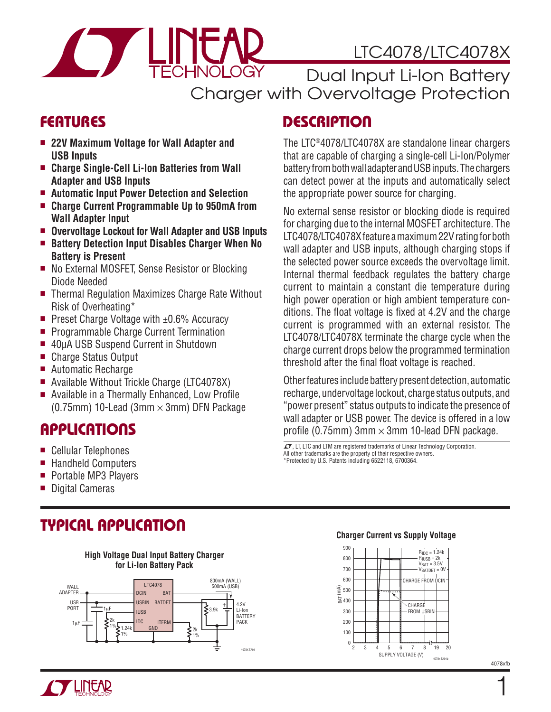# LTC4078/LTC4078X

Dual Input Li-Ion Battery Charger with Overvoltage Protection

### **FEATURES**

- 22V Maximum Voltage for Wall Adapter and **USB Inputs**
- Charge Single-Cell Li-Ion Batteries from Wall **Adapter and USB Inputs**
- $\blacksquare$  Automatic Input Power Detection and Selection
- Charge Current Programmable Up to 950mA from **Wall Adapter Input**
- **n** Overvoltage Lockout for Wall Adapter and USB Inputs

 $\Box$ 

- Battery Detection Input Disables Charger When No **Battery is Present**
- No External MOSFET, Sense Resistor or Blocking Diode Needed
- Thermal Regulation Maximizes Charge Rate Without Risk of Overheating\*
- **Preset Charge Voltage with**  $\pm 0.6\%$  **Accuracy**
- **Programmable Charge Current Termination**
- **n** 40μA USB Suspend Current in Shutdown
- Charge Status Output
- Automatic Recharge
- Available Without Trickle Charge (LTC4078X)
- $\blacksquare$  Available in a Thermally Enhanced, Low Profile (0.75mm) 10-Lead (3mm  $\times$  3mm) DFN Package

### **APPLICATIONS**

- Cellular Telephones
- Handheld Computers
- **Portable MP3 Players**
- Digital Cameras

## **TYPICAL APPLICATION**



# **DESCRIPTION**

The LTC®4078/LTC4078X are standalone linear chargers that are capable of charging a single-cell Li-Ion/Polymer battery from both wall adapter and USB inputs. The chargers can detect power at the inputs and automatically select the appropriate power source for charging.

No external sense resistor or blocking diode is required for charging due to the internal MOSFET architecture. The LTC4078/LTC4078X feature a maximum 22V rating for both wall adapter and USB inputs, although charging stops if the selected power source exceeds the overvoltage limit. Internal thermal feedback regulates the battery charge current to maintain a constant die temperature during high power operation or high ambient temperature conditions. The float voltage is fixed at 4.2V and the charge current is programmed with an external resistor. The LTC4078/LTC4078X terminate the charge cycle when the charge current drops below the programmed termination threshold after the final float voltage is reached.

Other features include battery present detection, automatic recharge, undervoltage lockout, charge status outputs, and "power present" status outputs to indicate the presence of wall adapter or USB power. The device is offered in a low profile (0.75mm) 3mm  $\times$  3mm 10-lead DFN package.

 $I$ , LT, LTC and LTM are registered trademarks of Linear Technology Corporation. All other trademarks are the property of their respective owners. \*Protected by U.S. Patents including 6522118, 6700364.

#### **Charger Current vs Supply Voltage**





4078xfb

1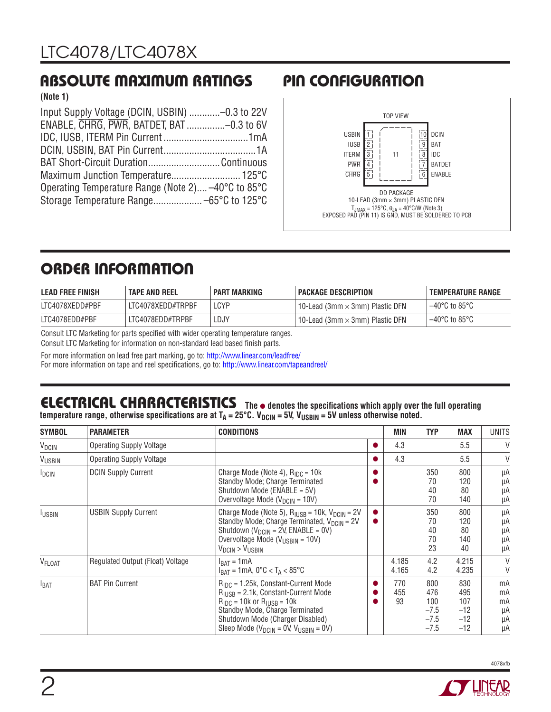### **ABSOLUTE MAXIMUM RATINGS PIN CONFIGURATION**

**(Note 1)**

| Input Supply Voltage (DCIN, USBIN) -0.3 to 22V     |  |
|----------------------------------------------------|--|
| ENABLE, CHRG, PWR, BATDET, BAT -0.3 to 6V          |  |
|                                                    |  |
|                                                    |  |
| BAT Short-Circuit DurationContinuous               |  |
|                                                    |  |
|                                                    |  |
| Operating Temperature Range (Note 2) -40°C to 85°C |  |



# **ORDER INFORMATION**

| <b>LEAD FREE FINISH</b> | <b>TAPE AND REEL</b> | <b>PART MARKING</b> | I PACKAGE DESCRIPTION                                        | I TEMPERATURE RANGE |
|-------------------------|----------------------|---------------------|--------------------------------------------------------------|---------------------|
| LTC4078XEDD#PBF         | LTC4078XEDD#TRPBF    | LCYP                | $^{\cdot}$ 10-Lead (3mm $\times$ 3mm) Plastic DFN $^{\cdot}$ | l –40°C to 85°C     |
| LTC4078EDD#PBF          | LTC4078EDD#TRPBF     | ∟DJY                | $^{\cdot}$ 10-Lead (3mm $\times$ 3mm) Plastic DFN $^{\cdot}$ | ⊢–40°C to 85°C      |

Consult LTC Marketing for parts specified with wider operating temperature ranges. Consult LTC Marketing for information on non-standard lead based finish parts.

For more information on lead free part marking, go to: http://www.linear.com/leadfree/

For more information on tape and reel specifications, go to: http://www.linear.com/tapeandreel/

#### **THE LIBILITY CONTRIGHT CONDITY** The  $\bullet$  denotes the specifications which apply over the full operating temperature range, otherwise specifications are at T<sub>A</sub> = 25°C. V<sub>DCIN</sub> = 5V, V<sub>USBIN</sub> = 5V unless otherwise noted. **ELECTRICAL CHARACTERISTICS**

| <b>SYMBOL</b>      | <b>PARAMETER</b>                 | <b>CONDITIONS</b>                                                                                                                                                                                                                                                            | <b>MIN</b>       | <b>TYP</b>                                      | <b>MAX</b>                                   | UNITS                            |
|--------------------|----------------------------------|------------------------------------------------------------------------------------------------------------------------------------------------------------------------------------------------------------------------------------------------------------------------------|------------------|-------------------------------------------------|----------------------------------------------|----------------------------------|
| V <sub>DCIN</sub>  | <b>Operating Supply Voltage</b>  |                                                                                                                                                                                                                                                                              | 4.3              |                                                 | 5.5                                          | V                                |
| VUSBIN             | <b>Operating Supply Voltage</b>  |                                                                                                                                                                                                                                                                              | 4.3              |                                                 | 5.5                                          | V                                |
| <b>IDCIN</b>       | <b>DCIN Supply Current</b>       | Charge Mode (Note 4), $R_{\text{IDC}} = 10k$<br>Standby Mode; Charge Terminated<br>Shutdown Mode (ENABLE = 5V)<br>Overvoltage Mode ( $V_{DCIN}$ = 10V)                                                                                                                       |                  | 350<br>70<br>40<br>70                           | 800<br>120<br>80<br>140                      | μA<br>μA<br>μA<br>μA             |
| <b>IUSBIN</b>      | <b>USBIN Supply Current</b>      | Charge Mode (Note 5), $R_{IUSB} = 10k$ , $V_{DCIN} = 2V$<br>Standby Mode; Charge Terminated, V <sub>DCIN</sub> = 2V<br>Shutdown ( $V_{DCIN}$ = 2V, ENABLE = 0V)<br>Overvoltage Mode ( $V_{\text{USBIN}}$ = 10V)<br>$V_{DCIN}$ > $V_{USBIN}$                                  |                  | 350<br>70<br>40<br>70<br>23                     | 800<br>120<br>80<br>140<br>40                | μA<br>μA<br>μA<br>μA<br>μA       |
| V <sub>FLOAT</sub> | Regulated Output (Float) Voltage | $I_{BAT} = 1mA$<br>$I_{BAT}$ = 1 mA, 0°C < T <sub>A</sub> < 85°C                                                                                                                                                                                                             | 4.185<br>4.165   | 4.2<br>4.2                                      | 4.215<br>4.235                               | V<br>V                           |
| I <sub>BAT</sub>   | <b>BAT Pin Current</b>           | $R_{\text{IDC}} = 1.25k$ , Constant-Current Mode<br>$R_{IUSB} = 2.1k$ , Constant-Current Mode<br>$R_{\text{IDC}}$ = 10k or $R_{\text{HISR}}$ = 10k<br>Standby Mode, Charge Terminated<br>Shutdown Mode (Charger Disabled)<br>Sleep Mode ( $V_{DCIN}$ = 0V, $V_{USBIN}$ = 0V) | 770<br>455<br>93 | 800<br>476<br>100<br>$-7.5$<br>$-7.5$<br>$-7.5$ | 830<br>495<br>107<br>$-12$<br>$-12$<br>$-12$ | mA<br>mA<br>mA<br>μA<br>μA<br>μA |



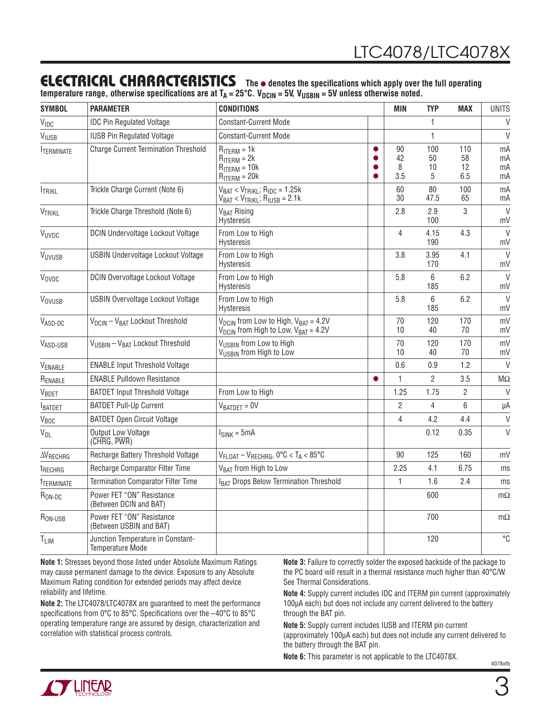### **ELECTRICAL CHARACTERISTICS** The  $\bullet$  denotes the specifications which apply over the full operating

temperature range, otherwise specifications are at T<sub>A</sub> = 25°C. V<sub>DCIN</sub> = 5V, V<sub>USBIN</sub> = 5V unless otherwise noted.

| <b>SYMBOL</b>       | <b>PARAMETER</b>                                             | <b>CONDITIONS</b>                                                                                                          |   | MIN                  | <b>TYP</b>           | <b>MAX</b>                            | <b>UNITS</b>         |
|---------------------|--------------------------------------------------------------|----------------------------------------------------------------------------------------------------------------------------|---|----------------------|----------------------|---------------------------------------|----------------------|
| VIDC                | <b>IDC Pin Regulated Voltage</b>                             | <b>Constant-Current Mode</b>                                                                                               |   |                      | 1                    |                                       | $\vee$               |
| VIUSB               | <b>IUSB Pin Regulated Voltage</b>                            | <b>Constant-Current Mode</b>                                                                                               |   |                      | 1                    |                                       | $\vee$               |
| <b>ITERMINATE</b>   | <b>Charge Current Termination Threshold</b>                  | $R_{ITERM} = 1k$<br>$R_{ITERM} = 2k$<br>$R_{ITERM} = 10k$<br>$R_{ITERM} = 20k$                                             | ● | 90<br>42<br>8<br>3.5 | 100<br>50<br>10<br>5 | 110<br>58<br>$12 \overline{ }$<br>6.5 | mA<br>mA<br>mA<br>mA |
| <b>ITRIKL</b>       | Trickle Charge Current (Note 6)                              | $V_{BAT}$ < $V_{TRIKL}$ ; $R_{IDC}$ = 1.25k<br>$V_{BAT}$ < $V_{TRIKL}$ ; $R_{IUSE}$ = 2.1k                                 |   | 60<br>30             | 80<br>47.5           | 100<br>65                             | mA<br>mA             |
| VTRIKL              | Trickle Charge Threshold (Note 6)                            | V <sub>BAT</sub> Rising<br>Hysteresis                                                                                      |   | 2.8                  | 2.9<br>100           | 3                                     | $\vee$<br>mV         |
| VUVDC               | DCIN Undervoltage Lockout Voltage                            | From Low to High<br>Hysteresis                                                                                             |   | 4                    | 4.15<br>190          | 4.3                                   | $\vee$<br>mV         |
| VUVUSB              | <b>USBIN Undervoltage Lockout Voltage</b>                    | From Low to High<br><b>Hysteresis</b>                                                                                      |   | 3.8                  | 3.95<br>170          | 4.1                                   | $\vee$<br>mV         |
| VOVDC               | <b>DCIN Overvoltage Lockout Voltage</b>                      | From Low to High<br>Hysteresis                                                                                             |   | 5.8                  | 6<br>185             | 6.2                                   | $\mathsf{V}$<br>mV   |
| VOVUSB              | <b>USBIN Overvoltage Lockout Voltage</b>                     | From Low to High<br>Hysteresis                                                                                             |   | 5.8                  | 6<br>185             | 6.2                                   | V<br>mV              |
| VASD-DC             | V <sub>DCIN</sub> - V <sub>BAT</sub> Lockout Threshold       | V <sub>DCIN</sub> from Low to High, V <sub>BAT</sub> = 4.2V<br>$V_{\text{DCIN}}$ from High to Low, $V_{\text{BAT}} = 4.2V$ |   | 70<br>10             | 120<br>40            | 170<br>70                             | mV<br>mV             |
| VASD-USB            | V <sub>USBIN</sub> - V <sub>BAT</sub> Lockout Threshold      | V <sub>USBIN</sub> from Low to High<br>VUSBIN from High to Low                                                             |   | 70<br>10             | 120<br>40            | 170<br>$70$                           | mV<br>mV             |
| VENABLE             | <b>ENABLE Input Threshold Voltage</b>                        |                                                                                                                            |   | 0.6                  | 0.9                  | 1.2                                   | $\vee$               |
| RENABLE             | <b>ENABLE Pulldown Resistance</b>                            |                                                                                                                            |   | 1                    | 2                    | 3.5                                   | $M\Omega$            |
| VBDET               | <b>BATDET Input Threshold Voltage</b>                        | From Low to High                                                                                                           |   | 1.25                 | 1.75                 | $\overline{2}$                        | V                    |
| <b>BATDET</b>       | <b>BATDET Pull-Up Current</b>                                | $V_{BATDET} = 0V$                                                                                                          |   | $\overline{2}$       | 4                    | 6                                     | μA                   |
| V <sub>BOC</sub>    | <b>BATDET Open Circuit Voltage</b>                           |                                                                                                                            |   | $\overline{4}$       | 4.2                  | 4.4                                   | $\vee$               |
| $V_{OL}$            | Output Low Voltage<br>(CHRG, PWR)                            | $I_{SINK} = 5mA$                                                                                                           |   |                      | 0.12                 | 0.35                                  | $\vee$               |
| <b>AVRECHRG</b>     | Recharge Battery Threshold Voltage                           | $V_{FLOAT} - V_{RECHRG}$ , 0°C < T <sub>A</sub> < 85°C                                                                     |   | $90\,$               | 125                  | 160                                   | mV                   |
| t <sub>RECHRG</sub> | Recharge Comparator Filter Time                              | V <sub>BAT</sub> from High to Low                                                                                          |   | 2.25                 | 4.1                  | 6.75                                  | ms                   |
| <b>TERMINATE</b>    | <b>Termination Comparator Filter Time</b>                    | I <sub>BAT</sub> Drops Below Termination Threshold                                                                         |   | 1                    | 1.6                  | 2.4                                   | ms                   |
| R <sub>ON-DC</sub>  | Power FET "ON" Resistance<br>(Between DCIN and BAT)          |                                                                                                                            |   |                      | 600                  |                                       | $m\Omega$            |
| R <sub>ON-USB</sub> | Power FET "ON" Resistance<br>(Between USBIN and BAT)         |                                                                                                                            |   |                      | 700                  |                                       | $m\Omega$            |
| T <sub>LIM</sub>    | Junction Temperature in Constant-<br><b>Temperature Mode</b> |                                                                                                                            |   |                      | 120                  |                                       | °C                   |

**Note 1:** Stresses beyond those listed under Absolute Maximum Ratings may cause permanent damage to the device. Exposure to any Absolute Maximum Rating condition for extended periods may affect device reliability and lifetime.

**Note 2:** The LTC4078/LTC4078X are guaranteed to meet the performance specifications from 0°C to 85°C. Specifications over the  $-40^{\circ}$ C to 85°C operating temperature range are assured by design, characterization and correlation with statistical process controls.

**Note 3:** Failure to correctly solder the exposed backside of the package to the PC board will result in a thermal resistance much higher than 40°C/W. See Thermal Considerations.

**Note 4:** Supply current includes IDC and ITERM pin current (approximately 100μA each) but does not include any current delivered to the battery through the BAT pin.

**Note 5:** Supply current includes IUSB and ITERM pin current (approximately 100μA each) but does not include any current delivered to the battery through the BAT pin.

**Note 6:** This parameter is not applicable to the LTC4078X.

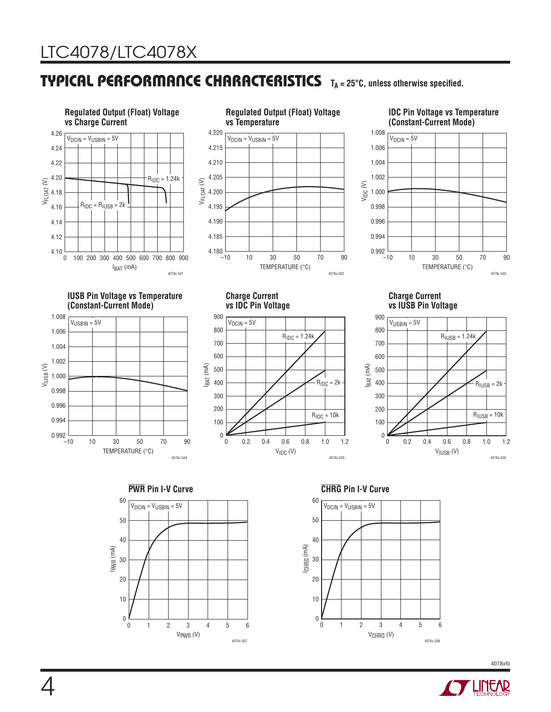4

### **TYPICAL PERFORMANCE CHARACTERISTICS** T<sub>A</sub> = 25°C, unless otherwise specified.



V<sub>PWR</sub> (V)

1 2 3 4 5 6

4078x G07

0

 $\pmb{0}$ 

20

10

V<sub>CHRG</sub> (V)

1 2 3 4 5 6

4078x G08

0

0

20

10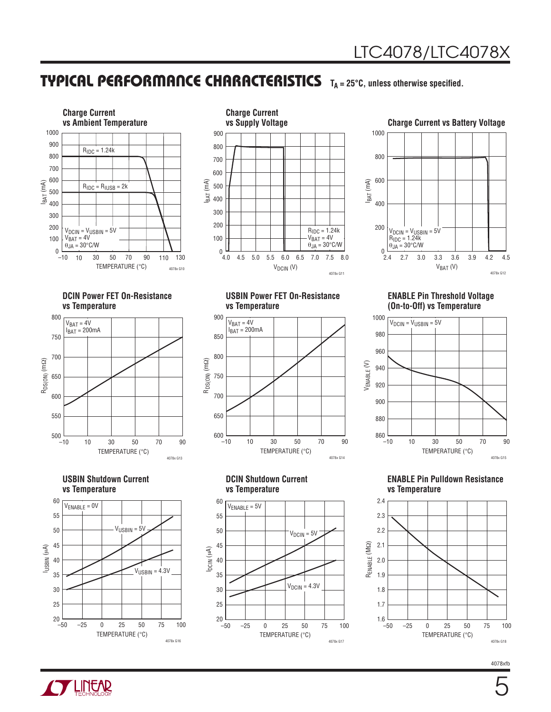### **TYPICAL PERFORMANCE CHARACTERISTICS** T<sub>A</sub> = 25°C, unless otherwise specified.





### **Charge Current vs Battery Voltage**



#### **DCIN Power FET On-Resistance vs Temperature**



#### **USBIN Shutdown Current vs Temperature**



#### **USBIN Power FET On-Resistance vs Temperature**



#### **DCIN Shutdown Current vs Temperature**



#### **ENABLE Pin Threshold Voltage (On-to-Off) vs Temperature**



#### **ENABLE Pin Pulldown Resistance vs Temperature**



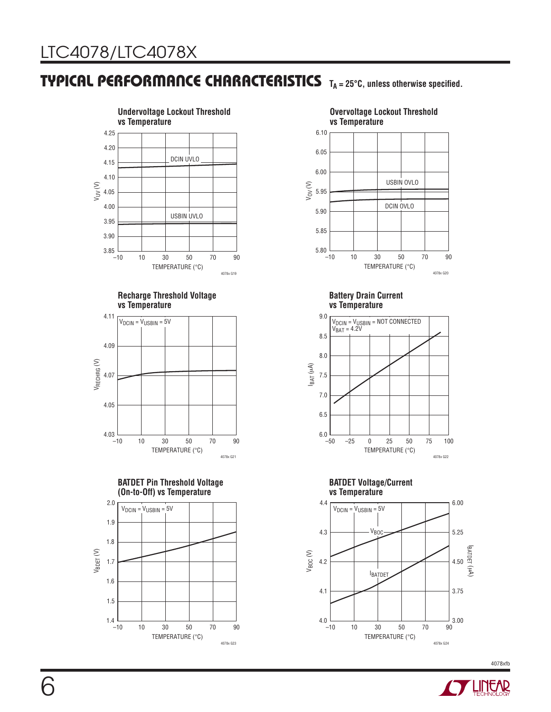### **TYPICAL PERFORMANCE CHARACTERISTICS TA = 25°C, unless otherwise specified.**



#### **Recharge Threshold Voltage vs Temperature**









4078x G20

**Battery Drain Current vs Temperature**



#### **BATDET Voltage/Current vs Temperature**



**Overvoltage Lockout Threshold**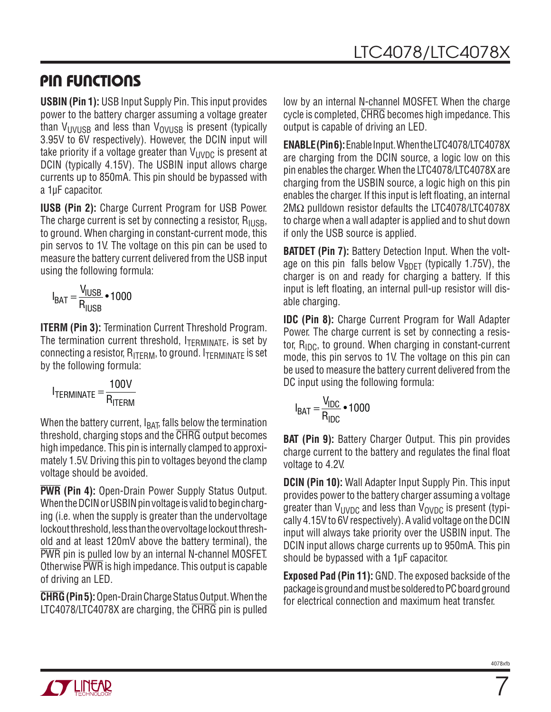### **PIN FUNCTIONS**

**USBIN (Pin 1):** USB Input Supply Pin. This input provides power to the battery charger assuming a voltage greater than V<sub>UVUSB</sub> and less than V<sub>OVUSB</sub> is present (typically 3.95V to 6V respectively). However, the DCIN input will take priority if a voltage greater than  $V_{\text{UVDC}}$  is present at DCIN (typically 4.15V). The USBIN input allows charge currents up to 850mA. This pin should be bypassed with a 1μF capacitor.

**IUSB (Pin 2):** Charge Current Program for USB Power. The charge current is set by connecting a resistor,  $R_{\text{HISB}}$ , to ground. When charging in constant-current mode, this pin servos to 1V. The voltage on this pin can be used to measure the battery current delivered from the USB input using the following formula:

$$
I_{BAT} = \frac{V_{IUSE}}{R_{IUSE}} \cdot 1000
$$

**ITERM (Pin 3):** Termination Current Threshold Program. The termination current threshold,  $I_{\text{TERMINATE}}$ , is set by connecting a resistor,  $R_{\text{ITERM}}$ , to ground.  $I_{\text{TERMINATE}}$  is set by the following formula:

$$
I_{\text{TERMINATE}} = \frac{100V}{R_{\text{ITERM}}}
$$

When the battery current,  $I_{\text{BAT}}$  falls below the termination threshold, charging stops and the CHRG output becomes high impedance. This pin is internally clamped to approximately 1.5V. Driving this pin to voltages beyond the clamp voltage should be avoided.

**PWR (Pin 4):** Open-Drain Power Supply Status Output. When the DCIN or USBIN pin voltage is valid to begin charging (i.e. when the supply is greater than the undervoltage lockout threshold, less than the overvoltage lockout threshold and at least 120mV above the battery terminal), the PWR pin is pulled low by an internal N-channel MOSFET. Otherwise PWR is high impedance. This output is capable of driving an LED.

**CHRG (Pin 5):** Open-Drain Charge Status Output. When the LTC4078/LTC4078X are charging, the CHRG pin is pulled low by an internal N-channel MOSFET. When the charge cycle is completed, CHRG becomes high impedance. This output is capable of driving an LED.

**ENABLE (Pin 6):** Enable Input. When the LTC4078/LTC4078X are charging from the DCIN source, a logic low on this pin enables the charger. When the LTC4078/LTC4078X are charging from the USBIN source, a logic high on this pin enables the charger. If this input is left floating, an internal 2MΩ pulldown resistor defaults the LTC4078/LTC4078X to charge when a wall adapter is applied and to shut down if only the USB source is applied.

**BATDET (Pin 7):** Battery Detection Input. When the voltage on this pin falls below  $V_{BDET}$  (typically 1.75V), the charger is on and ready for charging a battery. If this input is left floating, an internal pull-up resistor will disable charging.

**IDC (Pin 8):** Charge Current Program for Wall Adapter Power. The charge current is set by connecting a resistor,  $R_{IDC}$ , to ground. When charging in constant-current mode, this pin servos to 1V. The voltage on this pin can be used to measure the battery current delivered from the DC input using the following formula:

$$
I_{BAT} = \frac{V_{IDC}}{R_{IDC}} \cdot 1000
$$

**BAT (Pin 9):** Battery Charger Output. This pin provides charge current to the battery and regulates the final float voltage to 4.2V.

**DCIN (Pin 10):** Wall Adapter Input Supply Pin. This input provides power to the battery charger assuming a voltage greater than  $V_{\text{UVDC}}$  and less than  $V_{\text{OVDC}}$  is present (typically 4.15V to 6V respectively). A valid voltage on the DCIN input will always take priority over the USBIN input. The DCIN input allows charge currents up to 950mA. This pin should be bypassed with a 1µF capacitor.

**Exposed Pad (Pin 11):** GND. The exposed backside of the package is ground and must be soldered to PC board ground for electrical connection and maximum heat transfer.



7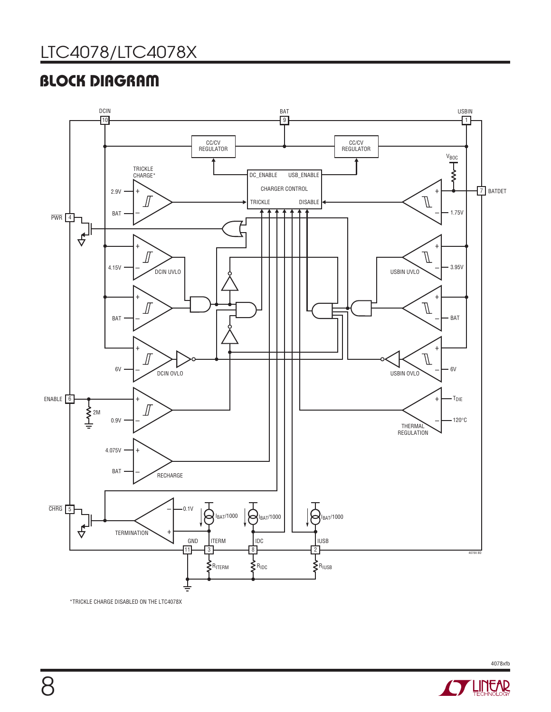# LTC4078/LTC4078X

# **BLOCK DIAGRAM**



\*TRICKLE CHARGE DISABLED ON THE LTC4078X

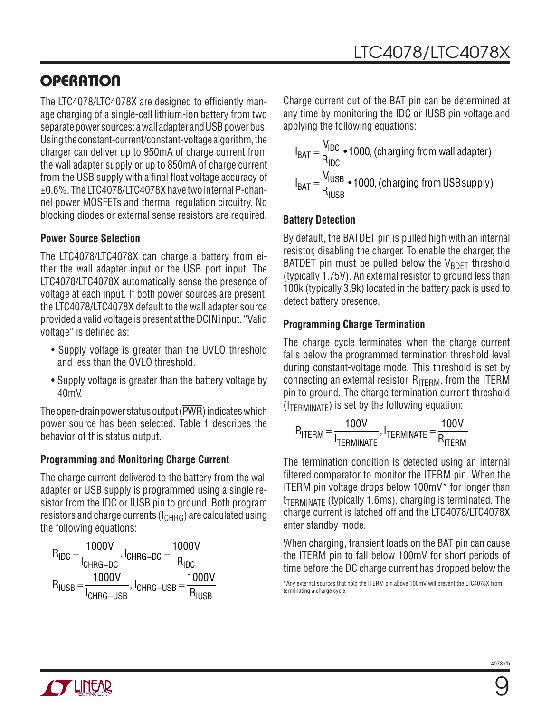## **OPERATION**

The LTC4078/LTC4078X are designed to efficiently manage charging of a single-cell lithium-ion battery from two separate power sources: a wall adapter and USB power bus. Using the constant-current/constant-voltage algorithm, the charger can deliver up to 950mA of charge current from the wall adapter supply or up to 850mA of charge current from the USB supply with a final float voltage accuracy of ±0.6%. The LTC4078/LTC4078X have two internal P-channel power MOSFETs and thermal regulation circuitry. No blocking diodes or external sense resistors are required.

#### **Power Source Selection**

The LTC4078/LTC4078X can charge a battery from either the wall adapter input or the USB port input. The LTC4078/LTC4078X automatically sense the presence of voltage at each input. If both power sources are present, the LTC4078/LTC4078X default to the wall adapter source provided a valid voltage is present at the DCIN input. "Valid voltage" is defined as:

- Supply voltage is greater than the UVLO threshold and less than the OVLO threshold.
- Supply voltage is greater than the battery voltage by 40mV.

The open-drain power status output (PWR) indicates which power source has been selected. Table 1 describes the behavior of this status output.

#### **Programming and Monitoring Charge Current**

The charge current delivered to the battery from the wall adapter or USB supply is programmed using a single resistor from the IDC or IUSB pin to ground. Both program resistors and charge currents  $(I<sub>CHRG</sub>)$  are calculated using the following equations:

$$
R_{\text{IDC}} = \frac{1000 \text{V}}{I_{\text{CHRG}-\text{DC}}}, I_{\text{CHRG}-\text{DC}} = \frac{1000 \text{V}}{R_{\text{IDC}}}
$$
\n
$$
R_{\text{IUSB}} = \frac{1000 \text{V}}{I_{\text{CHRG}-\text{USB}}}, I_{\text{CHRG}-\text{USB}} = \frac{1000 \text{V}}{R_{\text{IUSB}}}
$$

Charge current out of the BAT pin can be determined at any time by monitoring the IDC or IUSB pin voltage and applying the following equations:

$$
I_{BAT} = \frac{V_{IDC}}{R_{IDC}} \cdot 1000
$$
, (charging from wall adapter)  

$$
I_{BAT} = \frac{V_{IUSE}}{R_{IUSE}} \cdot 1000
$$
, (charging from USBsupply)

#### **Battery Detection**

By default, the BATDET pin is pulled high with an internal resistor, disabling the charger. To enable the charger, the BATDET pin must be pulled below the  $V_{RDFT}$  threshold (typically 1.75V). An external resistor to ground less than 100k (typically 3.9k) located in the battery pack is used to detect battery presence.

#### **Programming Charge Termination**

The charge cycle terminates when the charge current falls below the programmed termination threshold level during constant-voltage mode. This threshold is set by connecting an external resistor,  $R_{\text{IFRM}}$ , from the ITERM pin to ground. The charge termination current threshold  $(I_{\text{TFRMIMATE}})$  is set by the following equation:

$$
R_{ITERM} = \frac{100V}{I_{TERMINATE}}, I_{TERMINATE} = \frac{100V}{R_{ITERM}}
$$

The termination condition is detected using an internal filtered comparator to monitor the ITERM pin. When the ITERM pin voltage drops below 100mV\* for longer than  $t_{TFRMIMATE}$  (typically 1.6ms), charging is terminated. The charge current is latched off and the LTC4078/LTC4078X enter standby mode.

When charging, transient loads on the BAT pin can cause the ITERM pin to fall below 100mV for short periods of time before the DC charge current has dropped below the

\*Any external sources that hold the ITERM pin above 100mV will prevent the LTC4078X from terminating a charge cycle.

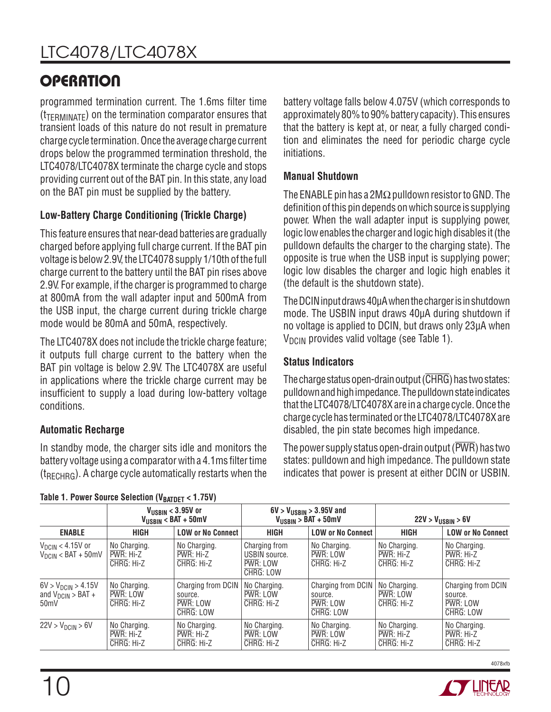# **OPERATION**

programmed termination current. The 1.6ms filter time  $(t_{\text{TFRMIMATE}})$  on the termination comparator ensures that transient loads of this nature do not result in premature charge cycle termination. Once the average charge current drops below the programmed termination threshold, the LTC4078/LTC4078X terminate the charge cycle and stops providing current out of the BAT pin. In this state, any load on the BAT pin must be supplied by the battery.

### **Low-Battery Charge Conditioning (Trickle Charge)**

This feature ensures that near-dead batteries are gradually charged before applying full charge current. If the BAT pin voltage is below 2.9V, the LTC4078 supply 1/10th of the full charge current to the battery until the BAT pin rises above 2.9V. For example, if the charger is programmed to charge at 800mA from the wall adapter input and 500mA from the USB input, the charge current during trickle charge mode would be 80mA and 50mA, respectively.

The LTC4078X does not include the trickle charge feature; it outputs full charge current to the battery when the BAT pin voltage is below 2.9V. The LTC4078X are useful in applications where the trickle charge current may be insufficient to supply a load during low-battery voltage conditions.

### **Automatic Recharge**

In standby mode, the charger sits idle and monitors the battery voltage using a comparator with a 4.1ms filter time  $(t_{RFCHRG})$ . A charge cycle automatically restarts when the battery voltage falls below 4.075V (which corresponds to approximately 80% to 90% battery capacity). This ensures that the battery is kept at, or near, a fully charged condition and eliminates the need for periodic charge cycle initiations.

### **Manual Shutdown**

The ENABLE pin has a 2M $\Omega$  pulldown resistor to GND. The definition of this pin depends on which source is supplying power. When the wall adapter input is supplying power, logic low enables the charger and logic high disables it (the pulldown defaults the charger to the charging state). The opposite is true when the USB input is supplying power; logic low disables the charger and logic high enables it (the default is the shutdown state).

The DCIN input draws 40μA when the charger is in shutdown mode. The USBIN input draws 40μA during shutdown if no voltage is applied to DCIN, but draws only 23μA when  $V<sub>DCIN</sub>$  provides valid voltage (see Table 1).

### **Status Indicators**

The charge status open-drain output (CHRG) has two states: pulldown and high impedance. The pulldown state indicates that the LTC4078/LTC4078X are in a charge cycle. Once the charge cycle has terminated or the LTC4078/LTC4078X are disabled, the pin state becomes high impedance.

The power supply status open-drain output (PWR) has two states: pulldown and high impedance. The pulldown state indicates that power is present at either DCIN or USBIN.

|                                                                        | $V_{\text{USBIN}} < 3.95$ V or<br>$V_{\text{USBIN}}$ < BAT + 50mV |                                                        | $6V > V_{\text{USEIN}} > 3.95V$ and<br>$V_{\text{USBIN}}$ > BAT + 50mV |                                                        | $22V > V_{USBIN} > 6V$                  |                                                        |
|------------------------------------------------------------------------|-------------------------------------------------------------------|--------------------------------------------------------|------------------------------------------------------------------------|--------------------------------------------------------|-----------------------------------------|--------------------------------------------------------|
| <b>ENABLE</b>                                                          | <b>HIGH</b>                                                       | <b>LOW or No Connect</b>                               | <b>HIGH</b>                                                            | <b>LOW or No Connect</b>                               | <b>HIGH</b>                             | <b>LOW or No Connect</b>                               |
| $V_{DCIN}$ < 4.15V or<br>$V_{\text{DCIN}} < \text{BAT} + 50 \text{mV}$ | No Charging.<br>PWR: Hi-Z<br>CHRG: Hi-Z                           | No Charging.<br>PWR: Hi-Z<br>CHRG: Hi-Z                | Charging from<br>USBIN source.<br>PWR: LOW<br>CHRG: LOW                | No Charging.<br>PWR: LOW<br>CHRG: Hi-Z                 | No Charging.<br>PWR: Hi-Z<br>CHRG: Hi-Z | No Charging.<br>$PWR: Hi-Z$<br>CHRG: Hi-Z              |
| $6V > V_{DCIN} > 4.15V$<br>and $V_{DCIN}$ > BAT +<br>50 <sub>m</sub> V | No Charging.<br>PWR: LOW<br>CHRG: Hi-Z                            | Charging from DCIN<br>source.<br>PWR: LOW<br>CHRG: LOW | No Charging.<br>PWR: LOW<br>CHRG: Hi-Z                                 | Charging from DCIN<br>source.<br>PWR: LOW<br>CHRG: LOW | No Charging.<br>PWR: LOW<br>CHRG: Hi-Z  | Charging from DCIN<br>source.<br>PWR: LOW<br>CHRG: LOW |
| 22V > V <sub>DCIN</sub> > 6V                                           | No Charging.<br>PWR: Hi-Z<br>CHRG: Hi-Z                           | No Charging.<br>PWR: Hi-Z<br>CHRG: Hi-Z                | No Charging.<br>PWR: LOW<br>CHRG: Hi-Z                                 | No Charging.<br>PWR: LOW<br>CHRG: Hi-Z                 | No Charging.<br>PWR: Hi-Z<br>CHRG: Hi-Z | No Charging.<br>PWR: Hi-Z<br>CHRG: Hi-Z                |

#### Table 1. Power Source Selection (V<sub>BATDET</sub> < 1.75V)

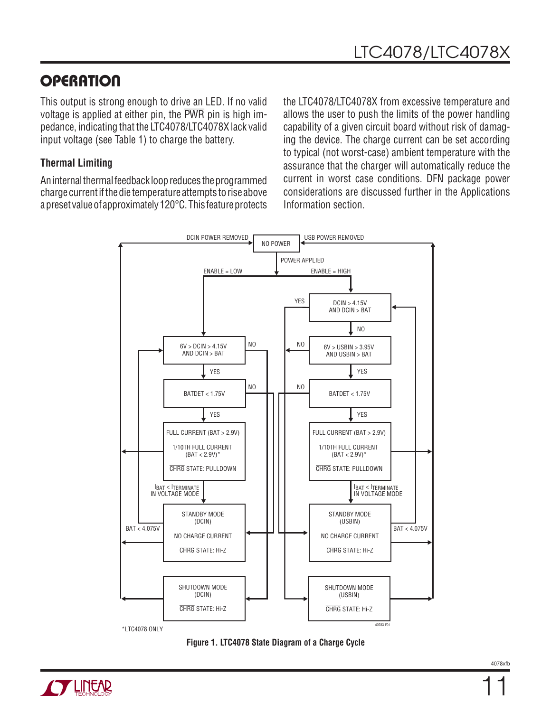## **OPERATION**

This output is strong enough to drive an LED. If no valid voltage is applied at either pin, the  $\overline{PWR}$  pin is high impedance, indicating that the LTC4078/LTC4078X lack valid input voltage (see Table 1) to charge the battery.

#### **Thermal Limiting**

An internal thermal feedback loop reduces the programmed charge current if the die temperature attempts to rise above a preset value of approximately 120°C. This feature protects the LTC4078/LTC4078X from excessive temperature and allows the user to push the limits of the power handling capability of a given circuit board without risk of damaging the device. The charge current can be set according to typical (not worst-case) ambient temperature with the assurance that the charger will automatically reduce the current in worst case conditions. DFN package power considerations are discussed further in the Applications Information section.





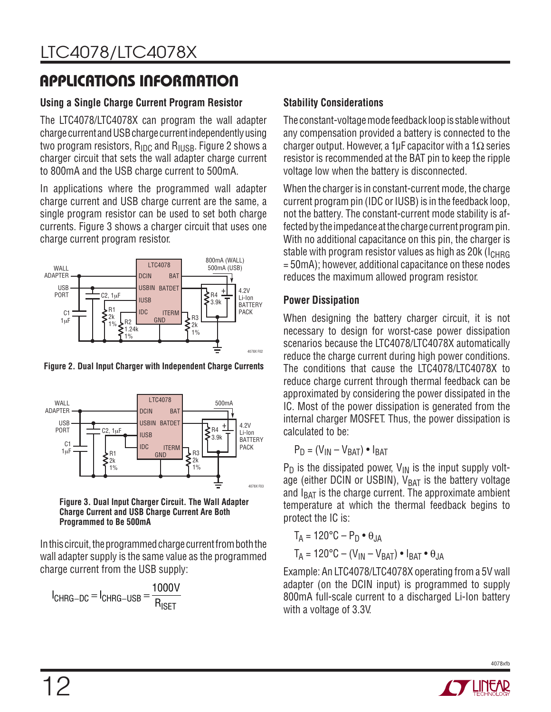# **APPLICATIONS INFORMATION**

### **Using a Single Charge Current Program Resistor**

The LTC4078/LTC4078X can program the wall adapter charge current and USB charge current independently using two program resistors,  $R_{\text{IDC}}$  and  $R_{\text{HISR}}$ . Figure 2 shows a charger circuit that sets the wall adapter charge current to 800mA and the USB charge current to 500mA.

In applications where the programmed wall adapter charge current and USB charge current are the same, a single program resistor can be used to set both charge currents. Figure 3 shows a charger circuit that uses one charge current program resistor.



**Figure 2. Dual Input Charger with Independent Charge Currents**



**Figure 3. Dual Input Charger Circuit. The Wall Adapter Charge Current and USB Charge Current Are Both Programmed to Be 500mA**

In this circuit, the programmed charge current from both the wall adapter supply is the same value as the programmed charge current from the USB supply:

$$
I_{CHRG-DC} = I_{CHRG-USE} = \frac{1000V}{R_{ISET}}
$$

### **Stability Considerations**

The constant-voltage mode feedback loop is stable without any compensation provided a battery is connected to the charger output. However, a 1µF capacitor with a 1 $\Omega$  series resistor is recommended at the BAT pin to keep the ripple voltage low when the battery is disconnected.

When the charger is in constant-current mode, the charge current program pin (IDC or IUSB) is in the feedback loop, not the battery. The constant-current mode stability is affected by the impedance at the charge current program pin. With no additional capacitance on this pin, the charger is stable with program resistor values as high as 20 $k$  ( $l_{CHRG}$ ) = 50mA); however, additional capacitance on these nodes reduces the maximum allowed program resistor.

#### **Power Dissipation**

When designing the battery charger circuit, it is not necessary to design for worst-case power dissipation scenarios because the LTC4078/LTC4078X automatically reduce the charge current during high power conditions. The conditions that cause the LTC4078/LTC4078X to reduce charge current through thermal feedback can be approximated by considering the power dissipated in the IC. Most of the power dissipation is generated from the internal charger MOSFET. Thus, the power dissipation is calculated to be:

$$
P_D = (V_{IN} - V_{BAT}) \bullet I_{BAT}
$$

 $P_D$  is the dissipated power,  $V_{IN}$  is the input supply voltage (either DCIN or USBIN),  $V_{BAT}$  is the battery voltage and  $I_{BAT}$  is the charge current. The approximate ambient temperature at which the thermal feedback begins to protect the IC is:

$$
T_A = 120^{\circ}\text{C} - \text{P}_\text{D} \bullet \theta_{\text{JA}}
$$

$$
T_A = 120^{\circ}\text{C} - (\text{V}_{\text{IN}} - \text{V}_{\text{BAT}}) \bullet \text{I}_{\text{BAT}} \bullet \theta_{\text{JA}}
$$

Example: An LTC4078/LTC4078X operating from a 5V wall adapter (on the DCIN input) is programmed to supply 800mA full-scale current to a discharged Li-Ion battery with a voltage of 3.3V.

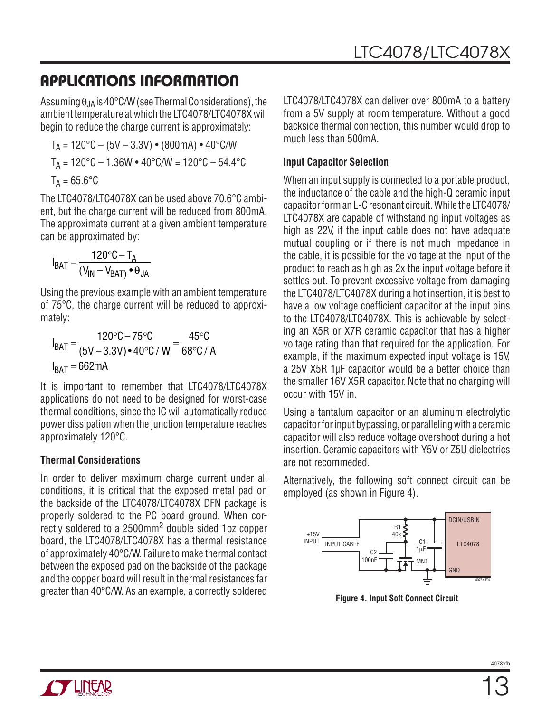# **APPLICATIONS INFORMATION**

Assuming  $\theta_{JA}$  is 40°C/W (see Thermal Considerations), the ambient temperature at which the LTC4078/LTC4078X will begin to reduce the charge current is approximately:

$$
T_A = 120^{\circ}\text{C} - (5\text{V} - 3.3\text{V}) \cdot (800\text{mA}) \cdot 40^{\circ}\text{C/W}
$$

$$
T_A = 120^{\circ}\text{C} - 1.36\text{W} \cdot 40^{\circ}\text{C/W} = 120^{\circ}\text{C} - 54.4^{\circ}\text{C}
$$

$$
T_A = 65.6^{\circ}\text{C}
$$

The LTC4078/LTC4078X can be used above 70.6°C ambient, but the charge current will be reduced from 800mA. The approximate current at a given ambient temperature can be approximated by:

$$
I_{BAT} = \frac{120\degree C - T_A}{(V_{IN} - V_{BAT}) \bullet \theta_{JA}}
$$

Using the previous example with an ambient temperature of 75°C, the charge current will be reduced to approximately:

$$
I_{BAT} = \frac{120\degree C - 75\degree C}{(5V - 3.3V) \cdot 40\degree C / W} = \frac{45\degree C}{68\degree C / A}
$$
  

$$
I_{BAT} = 662mA
$$

It is important to remember that LTC4078/LTC4078X applications do not need to be designed for worst-case thermal conditions, since the IC will automatically reduce power dissipation when the junction temperature reaches approximately 120°C.

### **Thermal Considerations**

In order to deliver maximum charge current under all conditions, it is critical that the exposed metal pad on the backside of the LTC4078/LTC4078X DFN package is properly soldered to the PC board ground. When correctly soldered to a 2500mm2 double sided 1oz copper board, the LTC4078/LTC4078X has a thermal resistance of approximately 40°C/W. Failure to make thermal contact between the exposed pad on the backside of the package and the copper board will result in thermal resistances far greater than 40°C/W. As an example, a correctly soldered **Figure 4. Input Soft Connect Circuit**

LTC4078/LTC4078X can deliver over 800mA to a battery from a 5V supply at room temperature. Without a good backside thermal connection, this number would drop to much less than 500mA.

### **Input Capacitor Selection**

When an input supply is connected to a portable product, the inductance of the cable and the high-Q ceramic input capacitor form an L-C resonant circuit. While the LTC4078/ LTC4078X are capable of withstanding input voltages as high as 22V, if the input cable does not have adequate mutual coupling or if there is not much impedance in the cable, it is possible for the voltage at the input of the product to reach as high as 2x the input voltage before it settles out. To prevent excessive voltage from damaging the LTC4078/LTC4078X during a hot insertion, it is best to have a low voltage coefficient capacitor at the input pins to the LTC4078/LTC4078X. This is achievable by selecting an X5R or X7R ceramic capacitor that has a higher voltage rating than that required for the application. For example, if the maximum expected input voltage is 15V, a 25V X5R 1μF capacitor would be a better choice than the smaller 16V X5R capacitor. Note that no charging will occur with 15V in.

Using a tantalum capacitor or an aluminum electrolytic capacitor for input bypassing, or paralleling with a ceramic capacitor will also reduce voltage overshoot during a hot insertion. Ceramic capacitors with Y5V or Z5U dielectrics are not recommeded.

Alternatively, the following soft connect circuit can be employed (as shown in Figure 4).

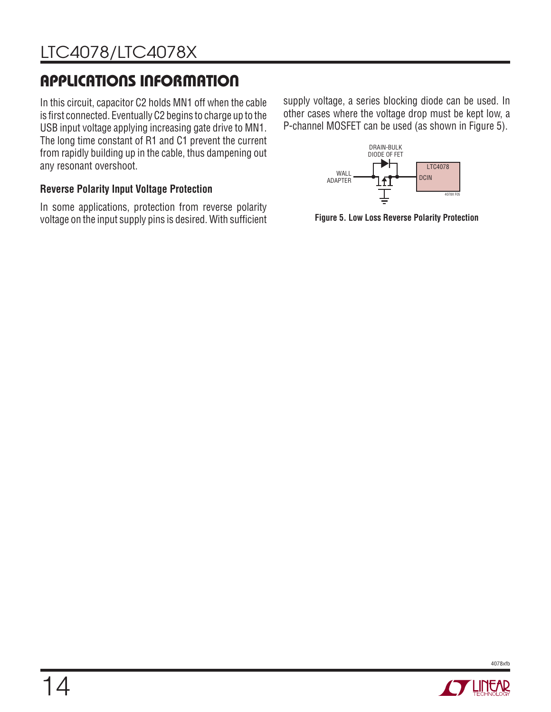# **APPLICATIONS INFORMATION**

In this circuit, capacitor C2 holds MN1 off when the cable is first connected. Eventually C2 begins to charge up to the USB input voltage applying increasing gate drive to MN1. The long time constant of R1 and C1 prevent the current from rapidly building up in the cable, thus dampening out any resonant overshoot.

### **Reverse Polarity Input Voltage Protection**

In some applications, protection from reverse polarity voltage on the input supply pins is desired. With sufficient

supply voltage, a series blocking diode can be used. In other cases where the voltage drop must be kept low, a P-channel MOSFET can be used (as shown in Figure 5).



**Figure 5. Low Loss Reverse Polarity Protection**



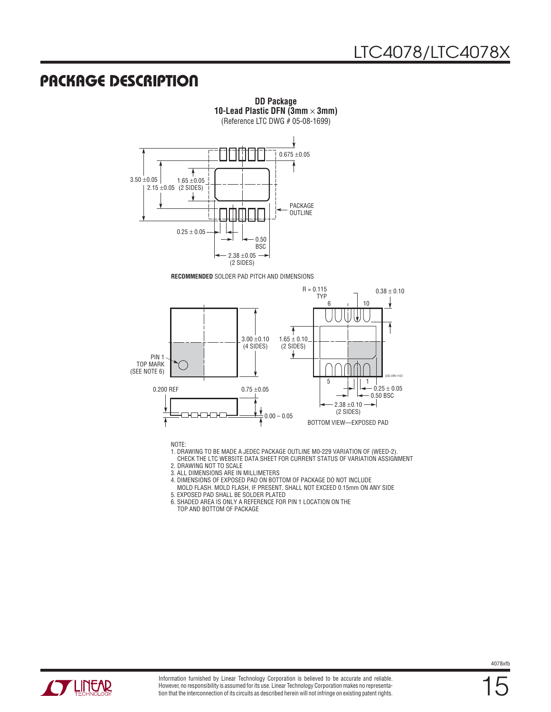### **PACKAGE DESCRIPTION**



**DD Package 10-Lead Plastic DFN (3mm** × **3mm)** (Reference LTC DWG # 05-08-1699)

**RECOMMENDED** SOLDER PAD PITCH AND DIMENSIONS



NOTE:

- 1. DRAWING TO BE MADE A JEDEC PACKAGE OUTLINE M0-229 VARIATION OF (WEED-2).
- CHECK THE LTC WEBSITE DATA SHEET FOR CURRENT STATUS OF VARIATION ASSIGNMENT
- 2. DRAWING NOT TO SCALE
- 3. ALL DIMENSIONS ARE IN MILLIMETERS
- 4. DIMENSIONS OF EXPOSED PAD ON BOTTOM OF PACKAGE DO NOT INCLUDE
- MOLD FLASH. MOLD FLASH, IF PRESENT, SHALL NOT EXCEED 0.15mm ON ANY SIDE
- 5. EXPOSED PAD SHALL BE SOLDER PLATED
- 6. SHADED AREA IS ONLY A REFERENCE FOR PIN 1 LOCATION ON THE TOP AND BOTTOM OF PACKAGE